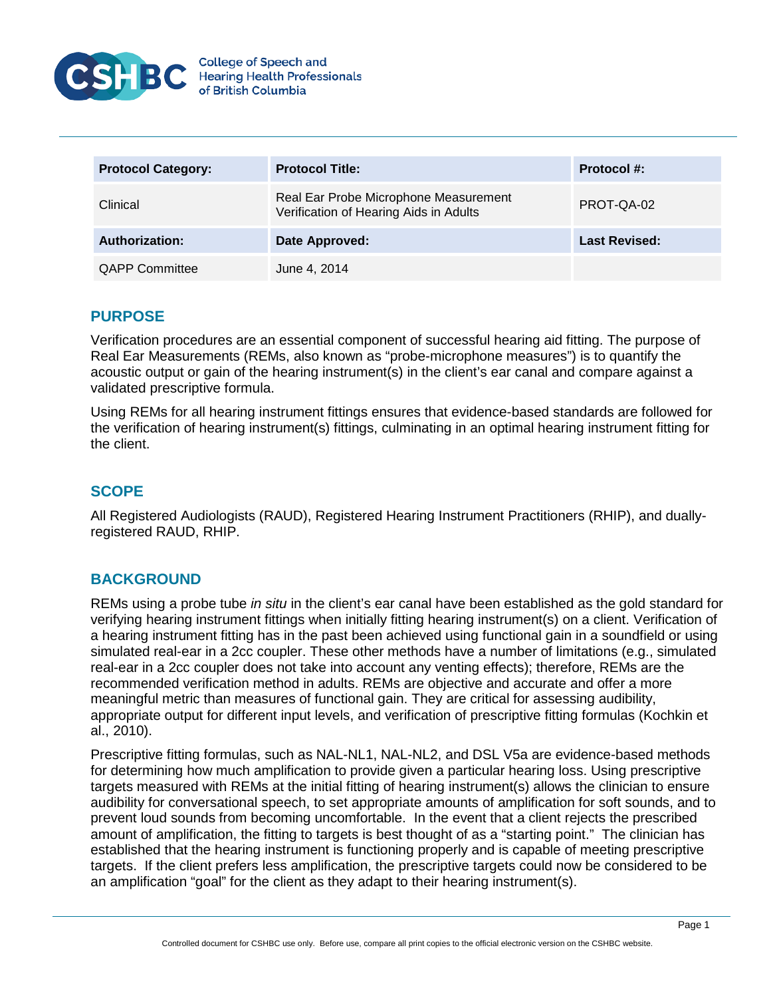

| <b>Protocol Category:</b> | <b>Protocol Title:</b>                                                          | Protocol #:          |
|---------------------------|---------------------------------------------------------------------------------|----------------------|
| Clinical                  | Real Ear Probe Microphone Measurement<br>Verification of Hearing Aids in Adults | PROT-QA-02           |
| <b>Authorization:</b>     | Date Approved:                                                                  | <b>Last Revised:</b> |
| <b>QAPP Committee</b>     | June 4, 2014                                                                    |                      |

# **PURPOSE**

Verification procedures are an essential component of successful hearing aid fitting. The purpose of Real Ear Measurements (REMs, also known as "probe-microphone measures") is to quantify the acoustic output or gain of the hearing instrument(s) in the client's ear canal and compare against a validated prescriptive formula.

Using REMs for all hearing instrument fittings ensures that evidence-based standards are followed for the verification of hearing instrument(s) fittings, culminating in an optimal hearing instrument fitting for the client.

# **SCOPE**

All Registered Audiologists (RAUD), Registered Hearing Instrument Practitioners (RHIP), and duallyregistered RAUD, RHIP.

### **BACKGROUND**

REMs using a probe tube *in situ* in the client's ear canal have been established as the gold standard for verifying hearing instrument fittings when initially fitting hearing instrument(s) on a client. Verification of a hearing instrument fitting has in the past been achieved using functional gain in a soundfield or using simulated real-ear in a 2cc coupler. These other methods have a number of limitations (e.g., simulated real-ear in a 2cc coupler does not take into account any venting effects); therefore, REMs are the recommended verification method in adults. REMs are objective and accurate and offer a more meaningful metric than measures of functional gain. They are critical for assessing audibility, appropriate output for different input levels, and verification of prescriptive fitting formulas (Kochkin et al., 2010).

Prescriptive fitting formulas, such as NAL-NL1, NAL-NL2, and DSL V5a are evidence-based methods for determining how much amplification to provide given a particular hearing loss. Using prescriptive targets measured with REMs at the initial fitting of hearing instrument(s) allows the clinician to ensure audibility for conversational speech, to set appropriate amounts of amplification for soft sounds, and to prevent loud sounds from becoming uncomfortable. In the event that a client rejects the prescribed amount of amplification, the fitting to targets is best thought of as a "starting point." The clinician has established that the hearing instrument is functioning properly and is capable of meeting prescriptive targets. If the client prefers less amplification, the prescriptive targets could now be considered to be an amplification "goal" for the client as they adapt to their hearing instrument(s).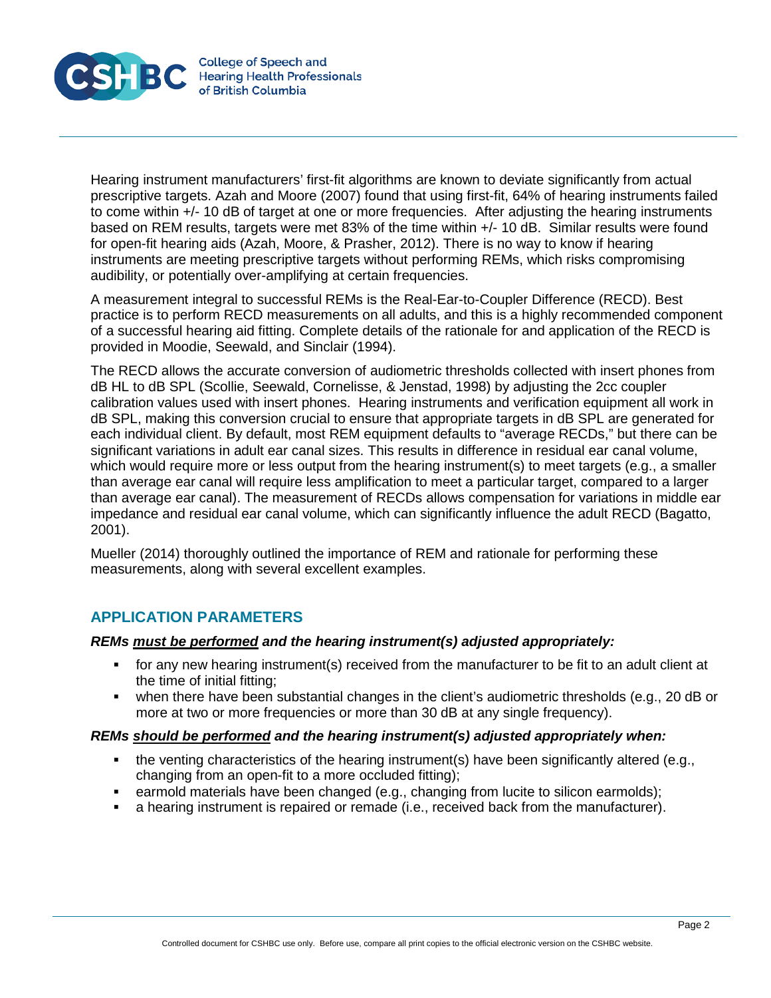

Hearing instrument manufacturers' first-fit algorithms are known to deviate significantly from actual prescriptive targets. Azah and Moore (2007) found that using first-fit, 64% of hearing instruments failed to come within +/- 10 dB of target at one or more frequencies. After adjusting the hearing instruments based on REM results, targets were met 83% of the time within +/- 10 dB. Similar results were found for open-fit hearing aids (Azah, Moore, & Prasher, 2012). There is no way to know if hearing instruments are meeting prescriptive targets without performing REMs, which risks compromising audibility, or potentially over-amplifying at certain frequencies.

A measurement integral to successful REMs is the Real-Ear-to-Coupler Difference (RECD). Best practice is to perform RECD measurements on all adults, and this is a highly recommended component of a successful hearing aid fitting. Complete details of the rationale for and application of the RECD is provided in Moodie, Seewald, and Sinclair (1994).

The RECD allows the accurate conversion of audiometric thresholds collected with insert phones from dB HL to dB SPL (Scollie, Seewald, Cornelisse, & Jenstad, 1998) by adjusting the 2cc coupler calibration values used with insert phones. Hearing instruments and verification equipment all work in dB SPL, making this conversion crucial to ensure that appropriate targets in dB SPL are generated for each individual client. By default, most REM equipment defaults to "average RECDs," but there can be significant variations in adult ear canal sizes. This results in difference in residual ear canal volume, which would require more or less output from the hearing instrument(s) to meet targets (e.g., a smaller than average ear canal will require less amplification to meet a particular target, compared to a larger than average ear canal). The measurement of RECDs allows compensation for variations in middle ear impedance and residual ear canal volume, which can significantly influence the adult RECD (Bagatto, 2001).

Mueller (2014) thoroughly outlined the importance of REM and rationale for performing these measurements, along with several excellent examples.

# **APPLICATION PARAMETERS**

#### *REMs must be performed and the hearing instrument(s) adjusted appropriately:*

- for any new hearing instrument(s) received from the manufacturer to be fit to an adult client at the time of initial fitting;
- when there have been substantial changes in the client's audiometric thresholds (e.g., 20 dB or more at two or more frequencies or more than 30 dB at any single frequency).

#### *REMs should be performed and the hearing instrument(s) adjusted appropriately when:*

- the venting characteristics of the hearing instrument(s) have been significantly altered (e.g., changing from an open-fit to a more occluded fitting);
- earmold materials have been changed (e.g., changing from lucite to silicon earmolds);
- a hearing instrument is repaired or remade (i.e., received back from the manufacturer).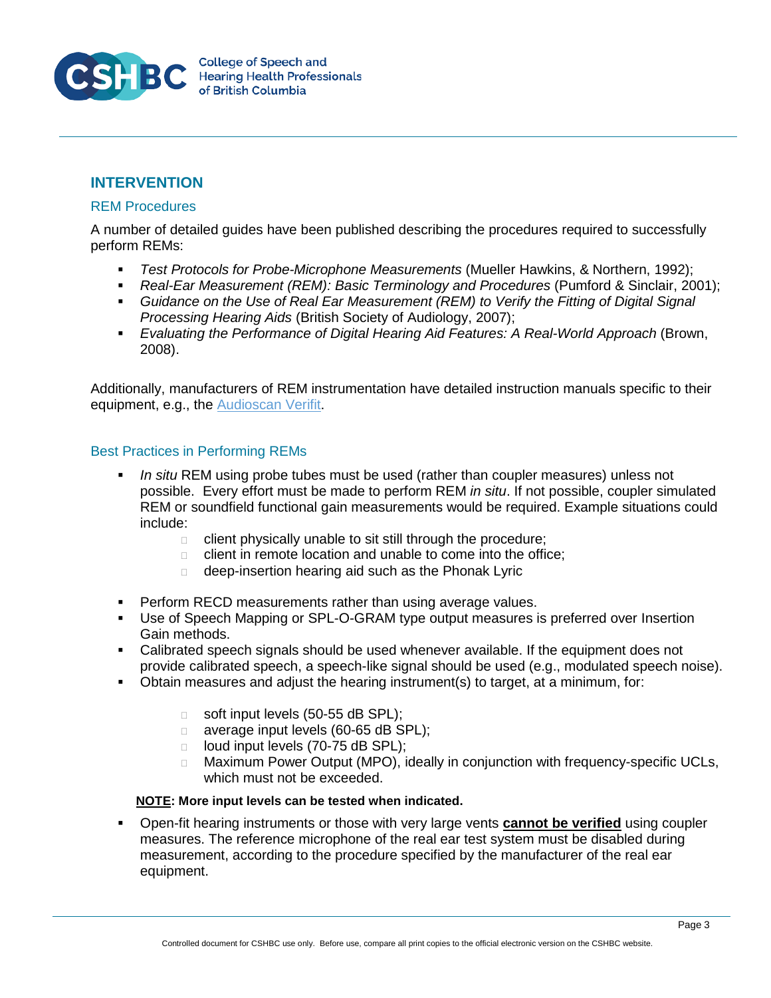

### **INTERVENTION**

#### REM Procedures

A number of detailed guides have been published describing the procedures required to successfully perform REMs:

- *Test Protocols for Probe-Microphone Measurements* (Mueller Hawkins, & Northern, 1992);
- *Real-Ear Measurement (REM): Basic Terminology and Procedures* (Pumford & Sinclair, 2001);
- **•** Guidance on the Use of Real Ear Measurement (REM) to Verify the Fitting of Digital Signal *Processing Hearing Aids* (British Society of Audiology, 2007);
- *Evaluating the Performance of Digital Hearing Aid Features: A Real-World Approach* (Brown, 2008).

Additionally, manufacturers of REM instrumentation have detailed instruction manuals specific to their equipment, e.g., the [Audioscan Verifit.](http://www.audioscan.com/Docs/vf1manual.pdf)

#### Best Practices in Performing REMs

- *In situ* REM using probe tubes must be used (rather than coupler measures) unless not possible. Every effort must be made to perform REM *in situ*. If not possible, coupler simulated REM or soundfield functional gain measurements would be required. Example situations could include:
	- $\Box$  client physically unable to sit still through the procedure;
	- client in remote location and unable to come into the office;
	- deep-insertion hearing aid such as the Phonak Lyric
- **Perform RECD measurements rather than using average values.**
- Use of Speech Mapping or SPL-O-GRAM type output measures is preferred over Insertion Gain methods.
- Calibrated speech signals should be used whenever available. If the equipment does not provide calibrated speech, a speech-like signal should be used (e.g., modulated speech noise).
- Obtain measures and adjust the hearing instrument(s) to target, at a minimum, for:
	- soft input levels  $(50-55$  dB SPL);
	- □ average input levels (60-65 dB SPL);
	- $\Box$  loud input levels (70-75 dB SPL);
	- □ Maximum Power Output (MPO), ideally in conjunction with frequency-specific UCLs, which must not be exceeded.

#### **NOTE: More input levels can be tested when indicated.**

 Open-fit hearing instruments or those with very large vents **cannot be verified** using coupler measures. The reference microphone of the real ear test system must be disabled during measurement, according to the procedure specified by the manufacturer of the real ear equipment.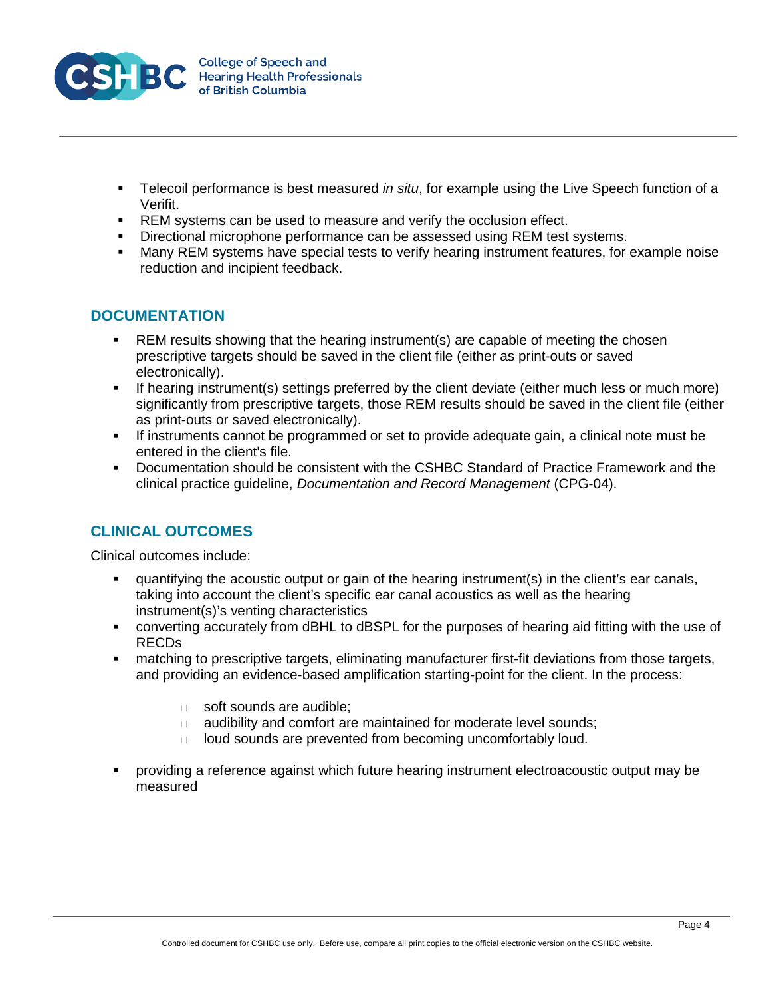

- Telecoil performance is best measured *in situ*, for example using the Live Speech function of a Verifit.
- **REM** systems can be used to measure and verify the occlusion effect.
- Directional microphone performance can be assessed using REM test systems.<br>• Many REM systems have special tests to verify hearing instrument features, for
- Many REM systems have special tests to verify hearing instrument features, for example noise reduction and incipient feedback.

### **DOCUMENTATION**

- REM results showing that the hearing instrument(s) are capable of meeting the chosen prescriptive targets should be saved in the client file (either as print-outs or saved electronically).
- If hearing instrument(s) settings preferred by the client deviate (either much less or much more) significantly from prescriptive targets, those REM results should be saved in the client file (either as print-outs or saved electronically).
- If instruments cannot be programmed or set to provide adequate gain, a clinical note must be entered in the client's file.
- Documentation should be consistent with the CSHBC Standard of Practice Framework and the clinical practice guideline, *Documentation and Record Management* (CPG-04).

# **CLINICAL OUTCOMES**

Clinical outcomes include:

- quantifying the acoustic output or gain of the hearing instrument(s) in the client's ear canals, taking into account the client's specific ear canal acoustics as well as the hearing instrument(s)'s venting characteristics
- converting accurately from dBHL to dBSPL for the purposes of hearing aid fitting with the use of RECDs
- matching to prescriptive targets, eliminating manufacturer first-fit deviations from those targets, and providing an evidence-based amplification starting-point for the client. In the process:
	- soft sounds are audible;
	- **a** audibility and comfort are maintained for moderate level sounds;
	- $\Box$  loud sounds are prevented from becoming uncomfortably loud.
- providing a reference against which future hearing instrument electroacoustic output may be measured